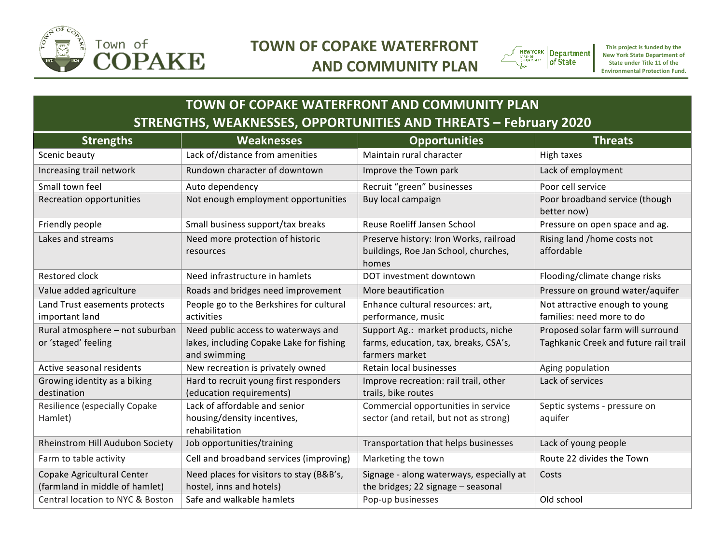

## **TOWN OF COPAKE WATERFRONT AND COMMUNITY PLAN**



This project is funded by the **New York State Department of State under Title 11 of the Environmental Protection Fund.** 

## **TOWN OF COPAKE WATERFRONT AND COMMUNITY PLAN STRENGTHS, WEAKNESSES, OPPORTUNITIES AND THREATS - February 2020**

| <b>Strengths</b>                                             | <b>Weaknesses</b>                                                                               | <b>Opportunities</b>                                                                           | <b>Threats</b>                                                             |
|--------------------------------------------------------------|-------------------------------------------------------------------------------------------------|------------------------------------------------------------------------------------------------|----------------------------------------------------------------------------|
| Scenic beauty                                                | Lack of/distance from amenities                                                                 | Maintain rural character                                                                       | High taxes                                                                 |
| Increasing trail network                                     | Rundown character of downtown                                                                   | Improve the Town park                                                                          | Lack of employment                                                         |
| Small town feel                                              | Auto dependency                                                                                 | Recruit "green" businesses                                                                     | Poor cell service                                                          |
| Recreation opportunities                                     | Not enough employment opportunities                                                             | Buy local campaign                                                                             | Poor broadband service (though<br>better now)                              |
| Friendly people                                              | Small business support/tax breaks                                                               | Reuse Roeliff Jansen School                                                                    | Pressure on open space and ag.                                             |
| Lakes and streams                                            | Need more protection of historic<br>resources                                                   | Preserve history: Iron Works, railroad<br>buildings, Roe Jan School, churches,<br>homes        | Rising land /home costs not<br>affordable                                  |
| <b>Restored clock</b>                                        | Need infrastructure in hamlets                                                                  | DOT investment downtown                                                                        | Flooding/climate change risks                                              |
| Value added agriculture                                      | Roads and bridges need improvement                                                              | More beautification                                                                            | Pressure on ground water/aquifer                                           |
| Land Trust easements protects<br>important land              | People go to the Berkshires for cultural<br>activities                                          | Enhance cultural resources: art,<br>performance, music                                         | Not attractive enough to young<br>families: need more to do                |
| Rural atmosphere - not suburban<br>or 'staged' feeling       | Need public access to waterways and<br>lakes, including Copake Lake for fishing<br>and swimming | Support Ag.: market products, niche<br>farms, education, tax, breaks, CSA's,<br>farmers market | Proposed solar farm will surround<br>Taghkanic Creek and future rail trail |
| Active seasonal residents                                    | New recreation is privately owned                                                               | Retain local businesses                                                                        | Aging population                                                           |
| Growing identity as a biking<br>destination                  | Hard to recruit young first responders<br>(education requirements)                              | Improve recreation: rail trail, other<br>trails, bike routes                                   | Lack of services                                                           |
| Resilience (especially Copake<br>Hamlet)                     | Lack of affordable and senior<br>housing/density incentives,<br>rehabilitation                  | Commercial opportunities in service<br>sector (and retail, but not as strong)                  | Septic systems - pressure on<br>aquifer                                    |
| <b>Rheinstrom Hill Audubon Society</b>                       | Job opportunities/training                                                                      | Transportation that helps businesses                                                           | Lack of young people                                                       |
| Farm to table activity                                       | Cell and broadband services (improving)                                                         | Marketing the town                                                                             | Route 22 divides the Town                                                  |
| Copake Agricultural Center<br>(farmland in middle of hamlet) | Need places for visitors to stay (B&B's,<br>hostel, inns and hotels)                            | Signage - along waterways, especially at<br>the bridges; 22 signage - seasonal                 | Costs                                                                      |
| <b>Central location to NYC &amp; Boston</b>                  | Safe and walkable hamlets                                                                       | Pop-up businesses                                                                              | Old school                                                                 |